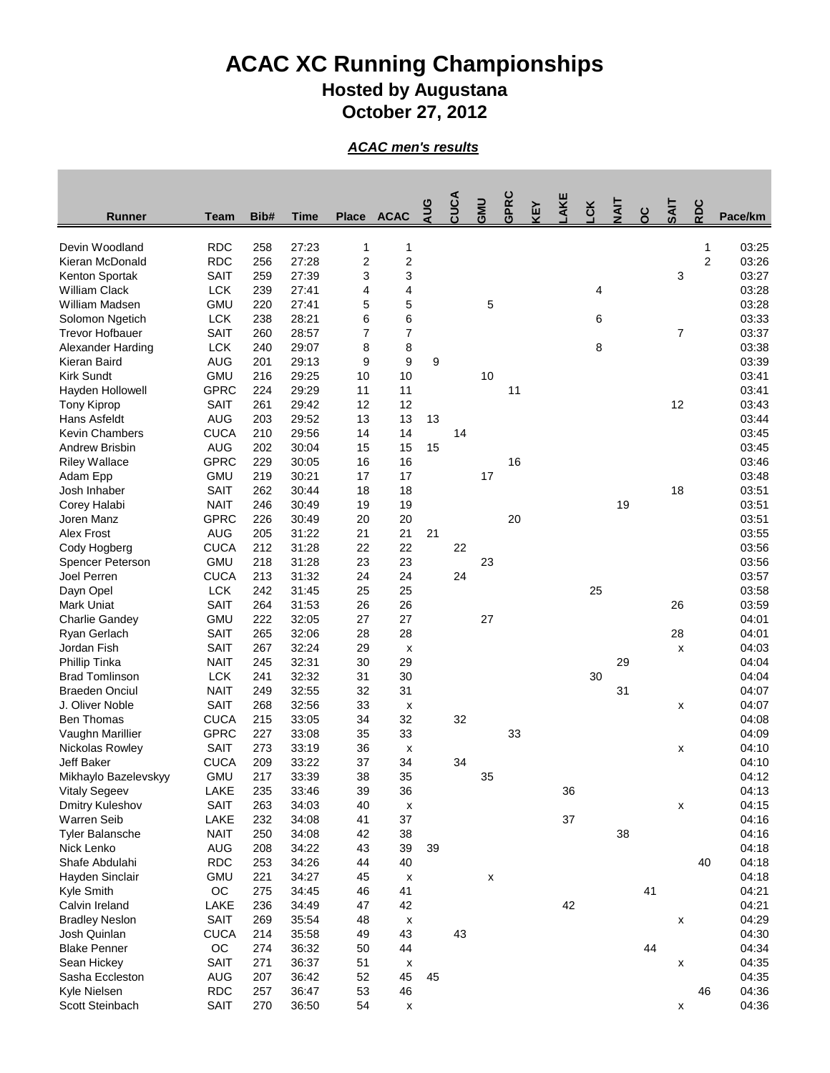## **ACAC XC Running Championships Hosted by Augustana October 27, 2012**

*ACAC men's results*

| <b>RDC</b><br>258<br>27:23<br>03:25<br>Devin Woodland<br>1<br>1<br>1<br>$\boldsymbol{2}$<br><b>RDC</b><br>27:28<br>2<br>$\overline{2}$<br>Kieran McDonald<br>256<br>03:26<br>3<br>3<br>3<br>Kenton Sportak<br><b>SAIT</b><br>27:39<br>03:27<br>259<br><b>LCK</b><br><b>William Clack</b><br>239<br>27:41<br>4<br>03:28<br>4<br>4<br>5<br><b>GMU</b><br>$\mathbf 5$<br>William Madsen<br>220<br>27:41<br>5<br>03:28<br>$6\phantom{1}6$<br><b>LCK</b><br>28:21<br>6<br>6<br>03:33<br>Solomon Ngetich<br>238<br><b>SAIT</b><br>$\overline{7}$<br><b>Trevor Hofbauer</b><br>260<br>28:57<br>7<br>03:37<br>7<br><b>LCK</b><br>8<br>8<br>29:07<br>8<br>03:38<br>Alexander Harding<br>240<br>9<br>Kieran Baird<br><b>AUG</b><br>201<br>29:13<br>9<br>9<br>03:39<br><b>GMU</b><br>10<br><b>Kirk Sundt</b><br>216<br>29:25<br>10<br>10<br>03:41<br><b>GPRC</b><br>29:29<br>224<br>11<br>11<br>11<br>03:41<br>Hayden Hollowell<br><b>SAIT</b><br>12<br>12<br>12<br>03:43<br>261<br>29:42<br><b>Tony Kiprop</b><br>13<br><b>AUG</b><br>13<br>13<br>Hans Asfeldt<br>29:52<br>03:44<br>203<br><b>Kevin Chambers</b><br><b>CUCA</b><br>14<br>210<br>29:56<br>14<br>14<br>03:45<br><b>AUG</b><br>15<br><b>Andrew Brisbin</b><br>202<br>30:04<br>15<br>15<br>03:45<br><b>GPRC</b><br><b>Riley Wallace</b><br>30:05<br>16<br>16<br>16<br>03:46<br>229<br>17<br>17<br><b>GMU</b><br>219<br>30:21<br>17<br>03:48<br>Adam Epp<br><b>SAIT</b><br>18<br>18<br>262<br>30:44<br>18<br>03:51<br>Josh Inhaber<br><b>NAIT</b><br>19<br>19<br>03:51<br>Corey Halabi<br>246<br>30:49<br>19<br><b>GPRC</b><br>226<br>30:49<br>20<br>20<br>20<br>03:51<br>Joren Manz<br><b>AUG</b><br>21<br>Alex Frost<br>31:22<br>21<br>21<br>03:55<br>205<br><b>CUCA</b><br>22<br>212<br>31:28<br>22<br>22<br>03:56<br>Cody Hogberg<br><b>GMU</b><br>31:28<br>23<br>23<br>23<br>218<br>03:56<br>Spencer Peterson<br><b>CUCA</b><br>31:32<br>24<br>Joel Perren<br>213<br>24<br>24<br>03:57<br><b>LCK</b><br>31:45<br>25<br>25<br>25<br>03:58<br>Dayn Opel<br>242<br><b>SAIT</b><br>26<br>26<br><b>Mark Uniat</b><br>264<br>31:53<br>26<br>03:59<br>27<br><b>GMU</b><br>222<br>32:05<br>27<br>27<br>04:01<br><b>Charlie Gandey</b><br><b>SAIT</b><br>28<br>265<br>32:06<br>28<br>28<br>04:01<br>Ryan Gerlach<br>Jordan Fish<br><b>SAIT</b><br>32:24<br>267<br>29<br>04:03<br>X<br>X<br><b>NAIT</b><br>32:31<br>30<br>29<br>29<br>04:04<br>Phillip Tinka<br>245<br><b>LCK</b><br>30<br><b>Brad Tomlinson</b><br>241<br>32:32<br>31<br>30<br>04:04<br><b>NAIT</b><br>32:55<br>32<br>31<br>249<br>31<br>04:07<br><b>Braeden Onciul</b><br><b>SAIT</b><br>32:56<br>33<br>04:07<br>J. Oliver Noble<br>268<br>Χ<br>X<br><b>CUCA</b><br>32<br><b>Ben Thomas</b><br>33:05<br>34<br>32<br>04:08<br>215<br><b>GPRC</b><br>33:08<br>35<br>33<br>33<br>04:09<br>Vaughn Marillier<br>227<br><b>SAIT</b><br>36<br>04:10<br>Nickolas Rowley<br>273<br>33:19<br>X<br>X<br><b>Jeff Baker</b><br><b>CUCA</b><br>37<br>34<br>34<br>04:10<br>209<br>33:22<br><b>GMU</b><br>38<br>35<br>35<br>04:12<br>Mikhaylo Bazelevskyy<br>217<br>33:39<br>36<br>LAKE<br>39<br>36<br>04:13<br><b>Vitaly Segeev</b><br>235<br>33:46<br><b>SAIT</b><br>40<br>04:15<br>Dmitry Kuleshov<br>263<br>34:03<br>X<br>X<br>37<br><b>Warren Seib</b><br>232<br>34:08<br>37<br>04:16<br>LAKE<br>41<br><b>NAIT</b><br>42<br>38<br>38<br>04:16<br><b>Tyler Balansche</b><br>250<br>34:08<br>Nick Lenko<br><b>AUG</b><br>43<br>39<br>39<br>04:18<br>208<br>34:22<br><b>RDC</b><br>Shafe Abdulahi<br>34:26<br>44<br>40<br>40<br>04:18<br>253<br>34:27<br>04:18<br>Hayden Sinclair<br><b>GMU</b><br>221<br>45<br>X<br>X<br>OC<br>41<br>41<br>Kyle Smith<br>34:45<br>46<br>04:21<br>275<br>42<br>LAKE<br>42<br>04:21<br>Calvin Ireland<br>236<br>34:49<br>47<br><b>SAIT</b><br>35:54<br>48<br>04:29<br><b>Bradley Neslon</b><br>269<br>X<br>X<br><b>CUCA</b><br>43<br>43<br>04:30<br>Josh Quinlan<br>214<br>35:58<br>49<br><b>OC</b><br><b>Blake Penner</b><br>44<br>04:34<br>274<br>36:32<br>50<br>44<br><b>SAIT</b><br>04:35<br>Sean Hickey<br>271<br>36:37<br>51<br>X<br>X<br><b>AUG</b><br>207<br>52<br>45<br>04:35<br>Sasha Eccleston<br>36:42<br>45<br>Kyle Nielsen<br><b>RDC</b><br>257<br>53<br>46<br>46<br>04:36<br>36:47 | <b>Runner</b>   | <b>Team</b> | Bib# | <b>Time</b> |    | Place ACAC         | CUCA | GMU | GPRC | 인 | AKE | š | ≒<br>⊿ | ပ | <b>TIVS</b> | RDC | Pace/km |
|----------------------------------------------------------------------------------------------------------------------------------------------------------------------------------------------------------------------------------------------------------------------------------------------------------------------------------------------------------------------------------------------------------------------------------------------------------------------------------------------------------------------------------------------------------------------------------------------------------------------------------------------------------------------------------------------------------------------------------------------------------------------------------------------------------------------------------------------------------------------------------------------------------------------------------------------------------------------------------------------------------------------------------------------------------------------------------------------------------------------------------------------------------------------------------------------------------------------------------------------------------------------------------------------------------------------------------------------------------------------------------------------------------------------------------------------------------------------------------------------------------------------------------------------------------------------------------------------------------------------------------------------------------------------------------------------------------------------------------------------------------------------------------------------------------------------------------------------------------------------------------------------------------------------------------------------------------------------------------------------------------------------------------------------------------------------------------------------------------------------------------------------------------------------------------------------------------------------------------------------------------------------------------------------------------------------------------------------------------------------------------------------------------------------------------------------------------------------------------------------------------------------------------------------------------------------------------------------------------------------------------------------------------------------------------------------------------------------------------------------------------------------------------------------------------------------------------------------------------------------------------------------------------------------------------------------------------------------------------------------------------------------------------------------------------------------------------------------------------------------------------------------------------------------------------------------------------------------------------------------------------------------------------------------------------------------------------------------------------------------------------------------------------------------------------------------------------------------------------------------------------------------------------------------------------------------------------------------------------------------------------------------------------------------------------------------------------------------------------------------------------------------------------------------------------------------------------------------------------------------------------------------------------------------------------------------------------------------------------------------------------------------------------------------------------------------------------------------------------------------------------------------------------------------------------------------------------------------------------|-----------------|-------------|------|-------------|----|--------------------|------|-----|------|---|-----|---|--------|---|-------------|-----|---------|
|                                                                                                                                                                                                                                                                                                                                                                                                                                                                                                                                                                                                                                                                                                                                                                                                                                                                                                                                                                                                                                                                                                                                                                                                                                                                                                                                                                                                                                                                                                                                                                                                                                                                                                                                                                                                                                                                                                                                                                                                                                                                                                                                                                                                                                                                                                                                                                                                                                                                                                                                                                                                                                                                                                                                                                                                                                                                                                                                                                                                                                                                                                                                                                                                                                                                                                                                                                                                                                                                                                                                                                                                                                                                                                                                                                                                                                                                                                                                                                                                                                                                                                                                                                                                                                  |                 |             |      |             |    |                    |      |     |      |   |     |   |        |   |             |     |         |
|                                                                                                                                                                                                                                                                                                                                                                                                                                                                                                                                                                                                                                                                                                                                                                                                                                                                                                                                                                                                                                                                                                                                                                                                                                                                                                                                                                                                                                                                                                                                                                                                                                                                                                                                                                                                                                                                                                                                                                                                                                                                                                                                                                                                                                                                                                                                                                                                                                                                                                                                                                                                                                                                                                                                                                                                                                                                                                                                                                                                                                                                                                                                                                                                                                                                                                                                                                                                                                                                                                                                                                                                                                                                                                                                                                                                                                                                                                                                                                                                                                                                                                                                                                                                                                  |                 |             |      |             |    |                    |      |     |      |   |     |   |        |   |             |     |         |
|                                                                                                                                                                                                                                                                                                                                                                                                                                                                                                                                                                                                                                                                                                                                                                                                                                                                                                                                                                                                                                                                                                                                                                                                                                                                                                                                                                                                                                                                                                                                                                                                                                                                                                                                                                                                                                                                                                                                                                                                                                                                                                                                                                                                                                                                                                                                                                                                                                                                                                                                                                                                                                                                                                                                                                                                                                                                                                                                                                                                                                                                                                                                                                                                                                                                                                                                                                                                                                                                                                                                                                                                                                                                                                                                                                                                                                                                                                                                                                                                                                                                                                                                                                                                                                  |                 |             |      |             |    |                    |      |     |      |   |     |   |        |   |             |     |         |
|                                                                                                                                                                                                                                                                                                                                                                                                                                                                                                                                                                                                                                                                                                                                                                                                                                                                                                                                                                                                                                                                                                                                                                                                                                                                                                                                                                                                                                                                                                                                                                                                                                                                                                                                                                                                                                                                                                                                                                                                                                                                                                                                                                                                                                                                                                                                                                                                                                                                                                                                                                                                                                                                                                                                                                                                                                                                                                                                                                                                                                                                                                                                                                                                                                                                                                                                                                                                                                                                                                                                                                                                                                                                                                                                                                                                                                                                                                                                                                                                                                                                                                                                                                                                                                  |                 |             |      |             |    |                    |      |     |      |   |     |   |        |   |             |     |         |
|                                                                                                                                                                                                                                                                                                                                                                                                                                                                                                                                                                                                                                                                                                                                                                                                                                                                                                                                                                                                                                                                                                                                                                                                                                                                                                                                                                                                                                                                                                                                                                                                                                                                                                                                                                                                                                                                                                                                                                                                                                                                                                                                                                                                                                                                                                                                                                                                                                                                                                                                                                                                                                                                                                                                                                                                                                                                                                                                                                                                                                                                                                                                                                                                                                                                                                                                                                                                                                                                                                                                                                                                                                                                                                                                                                                                                                                                                                                                                                                                                                                                                                                                                                                                                                  |                 |             |      |             |    |                    |      |     |      |   |     |   |        |   |             |     |         |
|                                                                                                                                                                                                                                                                                                                                                                                                                                                                                                                                                                                                                                                                                                                                                                                                                                                                                                                                                                                                                                                                                                                                                                                                                                                                                                                                                                                                                                                                                                                                                                                                                                                                                                                                                                                                                                                                                                                                                                                                                                                                                                                                                                                                                                                                                                                                                                                                                                                                                                                                                                                                                                                                                                                                                                                                                                                                                                                                                                                                                                                                                                                                                                                                                                                                                                                                                                                                                                                                                                                                                                                                                                                                                                                                                                                                                                                                                                                                                                                                                                                                                                                                                                                                                                  |                 |             |      |             |    |                    |      |     |      |   |     |   |        |   |             |     |         |
|                                                                                                                                                                                                                                                                                                                                                                                                                                                                                                                                                                                                                                                                                                                                                                                                                                                                                                                                                                                                                                                                                                                                                                                                                                                                                                                                                                                                                                                                                                                                                                                                                                                                                                                                                                                                                                                                                                                                                                                                                                                                                                                                                                                                                                                                                                                                                                                                                                                                                                                                                                                                                                                                                                                                                                                                                                                                                                                                                                                                                                                                                                                                                                                                                                                                                                                                                                                                                                                                                                                                                                                                                                                                                                                                                                                                                                                                                                                                                                                                                                                                                                                                                                                                                                  |                 |             |      |             |    |                    |      |     |      |   |     |   |        |   |             |     |         |
|                                                                                                                                                                                                                                                                                                                                                                                                                                                                                                                                                                                                                                                                                                                                                                                                                                                                                                                                                                                                                                                                                                                                                                                                                                                                                                                                                                                                                                                                                                                                                                                                                                                                                                                                                                                                                                                                                                                                                                                                                                                                                                                                                                                                                                                                                                                                                                                                                                                                                                                                                                                                                                                                                                                                                                                                                                                                                                                                                                                                                                                                                                                                                                                                                                                                                                                                                                                                                                                                                                                                                                                                                                                                                                                                                                                                                                                                                                                                                                                                                                                                                                                                                                                                                                  |                 |             |      |             |    |                    |      |     |      |   |     |   |        |   |             |     |         |
|                                                                                                                                                                                                                                                                                                                                                                                                                                                                                                                                                                                                                                                                                                                                                                                                                                                                                                                                                                                                                                                                                                                                                                                                                                                                                                                                                                                                                                                                                                                                                                                                                                                                                                                                                                                                                                                                                                                                                                                                                                                                                                                                                                                                                                                                                                                                                                                                                                                                                                                                                                                                                                                                                                                                                                                                                                                                                                                                                                                                                                                                                                                                                                                                                                                                                                                                                                                                                                                                                                                                                                                                                                                                                                                                                                                                                                                                                                                                                                                                                                                                                                                                                                                                                                  |                 |             |      |             |    |                    |      |     |      |   |     |   |        |   |             |     |         |
|                                                                                                                                                                                                                                                                                                                                                                                                                                                                                                                                                                                                                                                                                                                                                                                                                                                                                                                                                                                                                                                                                                                                                                                                                                                                                                                                                                                                                                                                                                                                                                                                                                                                                                                                                                                                                                                                                                                                                                                                                                                                                                                                                                                                                                                                                                                                                                                                                                                                                                                                                                                                                                                                                                                                                                                                                                                                                                                                                                                                                                                                                                                                                                                                                                                                                                                                                                                                                                                                                                                                                                                                                                                                                                                                                                                                                                                                                                                                                                                                                                                                                                                                                                                                                                  |                 |             |      |             |    |                    |      |     |      |   |     |   |        |   |             |     |         |
|                                                                                                                                                                                                                                                                                                                                                                                                                                                                                                                                                                                                                                                                                                                                                                                                                                                                                                                                                                                                                                                                                                                                                                                                                                                                                                                                                                                                                                                                                                                                                                                                                                                                                                                                                                                                                                                                                                                                                                                                                                                                                                                                                                                                                                                                                                                                                                                                                                                                                                                                                                                                                                                                                                                                                                                                                                                                                                                                                                                                                                                                                                                                                                                                                                                                                                                                                                                                                                                                                                                                                                                                                                                                                                                                                                                                                                                                                                                                                                                                                                                                                                                                                                                                                                  |                 |             |      |             |    |                    |      |     |      |   |     |   |        |   |             |     |         |
|                                                                                                                                                                                                                                                                                                                                                                                                                                                                                                                                                                                                                                                                                                                                                                                                                                                                                                                                                                                                                                                                                                                                                                                                                                                                                                                                                                                                                                                                                                                                                                                                                                                                                                                                                                                                                                                                                                                                                                                                                                                                                                                                                                                                                                                                                                                                                                                                                                                                                                                                                                                                                                                                                                                                                                                                                                                                                                                                                                                                                                                                                                                                                                                                                                                                                                                                                                                                                                                                                                                                                                                                                                                                                                                                                                                                                                                                                                                                                                                                                                                                                                                                                                                                                                  |                 |             |      |             |    |                    |      |     |      |   |     |   |        |   |             |     |         |
|                                                                                                                                                                                                                                                                                                                                                                                                                                                                                                                                                                                                                                                                                                                                                                                                                                                                                                                                                                                                                                                                                                                                                                                                                                                                                                                                                                                                                                                                                                                                                                                                                                                                                                                                                                                                                                                                                                                                                                                                                                                                                                                                                                                                                                                                                                                                                                                                                                                                                                                                                                                                                                                                                                                                                                                                                                                                                                                                                                                                                                                                                                                                                                                                                                                                                                                                                                                                                                                                                                                                                                                                                                                                                                                                                                                                                                                                                                                                                                                                                                                                                                                                                                                                                                  |                 |             |      |             |    |                    |      |     |      |   |     |   |        |   |             |     |         |
|                                                                                                                                                                                                                                                                                                                                                                                                                                                                                                                                                                                                                                                                                                                                                                                                                                                                                                                                                                                                                                                                                                                                                                                                                                                                                                                                                                                                                                                                                                                                                                                                                                                                                                                                                                                                                                                                                                                                                                                                                                                                                                                                                                                                                                                                                                                                                                                                                                                                                                                                                                                                                                                                                                                                                                                                                                                                                                                                                                                                                                                                                                                                                                                                                                                                                                                                                                                                                                                                                                                                                                                                                                                                                                                                                                                                                                                                                                                                                                                                                                                                                                                                                                                                                                  |                 |             |      |             |    |                    |      |     |      |   |     |   |        |   |             |     |         |
|                                                                                                                                                                                                                                                                                                                                                                                                                                                                                                                                                                                                                                                                                                                                                                                                                                                                                                                                                                                                                                                                                                                                                                                                                                                                                                                                                                                                                                                                                                                                                                                                                                                                                                                                                                                                                                                                                                                                                                                                                                                                                                                                                                                                                                                                                                                                                                                                                                                                                                                                                                                                                                                                                                                                                                                                                                                                                                                                                                                                                                                                                                                                                                                                                                                                                                                                                                                                                                                                                                                                                                                                                                                                                                                                                                                                                                                                                                                                                                                                                                                                                                                                                                                                                                  |                 |             |      |             |    |                    |      |     |      |   |     |   |        |   |             |     |         |
|                                                                                                                                                                                                                                                                                                                                                                                                                                                                                                                                                                                                                                                                                                                                                                                                                                                                                                                                                                                                                                                                                                                                                                                                                                                                                                                                                                                                                                                                                                                                                                                                                                                                                                                                                                                                                                                                                                                                                                                                                                                                                                                                                                                                                                                                                                                                                                                                                                                                                                                                                                                                                                                                                                                                                                                                                                                                                                                                                                                                                                                                                                                                                                                                                                                                                                                                                                                                                                                                                                                                                                                                                                                                                                                                                                                                                                                                                                                                                                                                                                                                                                                                                                                                                                  |                 |             |      |             |    |                    |      |     |      |   |     |   |        |   |             |     |         |
|                                                                                                                                                                                                                                                                                                                                                                                                                                                                                                                                                                                                                                                                                                                                                                                                                                                                                                                                                                                                                                                                                                                                                                                                                                                                                                                                                                                                                                                                                                                                                                                                                                                                                                                                                                                                                                                                                                                                                                                                                                                                                                                                                                                                                                                                                                                                                                                                                                                                                                                                                                                                                                                                                                                                                                                                                                                                                                                                                                                                                                                                                                                                                                                                                                                                                                                                                                                                                                                                                                                                                                                                                                                                                                                                                                                                                                                                                                                                                                                                                                                                                                                                                                                                                                  |                 |             |      |             |    |                    |      |     |      |   |     |   |        |   |             |     |         |
|                                                                                                                                                                                                                                                                                                                                                                                                                                                                                                                                                                                                                                                                                                                                                                                                                                                                                                                                                                                                                                                                                                                                                                                                                                                                                                                                                                                                                                                                                                                                                                                                                                                                                                                                                                                                                                                                                                                                                                                                                                                                                                                                                                                                                                                                                                                                                                                                                                                                                                                                                                                                                                                                                                                                                                                                                                                                                                                                                                                                                                                                                                                                                                                                                                                                                                                                                                                                                                                                                                                                                                                                                                                                                                                                                                                                                                                                                                                                                                                                                                                                                                                                                                                                                                  |                 |             |      |             |    |                    |      |     |      |   |     |   |        |   |             |     |         |
|                                                                                                                                                                                                                                                                                                                                                                                                                                                                                                                                                                                                                                                                                                                                                                                                                                                                                                                                                                                                                                                                                                                                                                                                                                                                                                                                                                                                                                                                                                                                                                                                                                                                                                                                                                                                                                                                                                                                                                                                                                                                                                                                                                                                                                                                                                                                                                                                                                                                                                                                                                                                                                                                                                                                                                                                                                                                                                                                                                                                                                                                                                                                                                                                                                                                                                                                                                                                                                                                                                                                                                                                                                                                                                                                                                                                                                                                                                                                                                                                                                                                                                                                                                                                                                  |                 |             |      |             |    |                    |      |     |      |   |     |   |        |   |             |     |         |
|                                                                                                                                                                                                                                                                                                                                                                                                                                                                                                                                                                                                                                                                                                                                                                                                                                                                                                                                                                                                                                                                                                                                                                                                                                                                                                                                                                                                                                                                                                                                                                                                                                                                                                                                                                                                                                                                                                                                                                                                                                                                                                                                                                                                                                                                                                                                                                                                                                                                                                                                                                                                                                                                                                                                                                                                                                                                                                                                                                                                                                                                                                                                                                                                                                                                                                                                                                                                                                                                                                                                                                                                                                                                                                                                                                                                                                                                                                                                                                                                                                                                                                                                                                                                                                  |                 |             |      |             |    |                    |      |     |      |   |     |   |        |   |             |     |         |
|                                                                                                                                                                                                                                                                                                                                                                                                                                                                                                                                                                                                                                                                                                                                                                                                                                                                                                                                                                                                                                                                                                                                                                                                                                                                                                                                                                                                                                                                                                                                                                                                                                                                                                                                                                                                                                                                                                                                                                                                                                                                                                                                                                                                                                                                                                                                                                                                                                                                                                                                                                                                                                                                                                                                                                                                                                                                                                                                                                                                                                                                                                                                                                                                                                                                                                                                                                                                                                                                                                                                                                                                                                                                                                                                                                                                                                                                                                                                                                                                                                                                                                                                                                                                                                  |                 |             |      |             |    |                    |      |     |      |   |     |   |        |   |             |     |         |
|                                                                                                                                                                                                                                                                                                                                                                                                                                                                                                                                                                                                                                                                                                                                                                                                                                                                                                                                                                                                                                                                                                                                                                                                                                                                                                                                                                                                                                                                                                                                                                                                                                                                                                                                                                                                                                                                                                                                                                                                                                                                                                                                                                                                                                                                                                                                                                                                                                                                                                                                                                                                                                                                                                                                                                                                                                                                                                                                                                                                                                                                                                                                                                                                                                                                                                                                                                                                                                                                                                                                                                                                                                                                                                                                                                                                                                                                                                                                                                                                                                                                                                                                                                                                                                  |                 |             |      |             |    |                    |      |     |      |   |     |   |        |   |             |     |         |
|                                                                                                                                                                                                                                                                                                                                                                                                                                                                                                                                                                                                                                                                                                                                                                                                                                                                                                                                                                                                                                                                                                                                                                                                                                                                                                                                                                                                                                                                                                                                                                                                                                                                                                                                                                                                                                                                                                                                                                                                                                                                                                                                                                                                                                                                                                                                                                                                                                                                                                                                                                                                                                                                                                                                                                                                                                                                                                                                                                                                                                                                                                                                                                                                                                                                                                                                                                                                                                                                                                                                                                                                                                                                                                                                                                                                                                                                                                                                                                                                                                                                                                                                                                                                                                  |                 |             |      |             |    |                    |      |     |      |   |     |   |        |   |             |     |         |
|                                                                                                                                                                                                                                                                                                                                                                                                                                                                                                                                                                                                                                                                                                                                                                                                                                                                                                                                                                                                                                                                                                                                                                                                                                                                                                                                                                                                                                                                                                                                                                                                                                                                                                                                                                                                                                                                                                                                                                                                                                                                                                                                                                                                                                                                                                                                                                                                                                                                                                                                                                                                                                                                                                                                                                                                                                                                                                                                                                                                                                                                                                                                                                                                                                                                                                                                                                                                                                                                                                                                                                                                                                                                                                                                                                                                                                                                                                                                                                                                                                                                                                                                                                                                                                  |                 |             |      |             |    |                    |      |     |      |   |     |   |        |   |             |     |         |
|                                                                                                                                                                                                                                                                                                                                                                                                                                                                                                                                                                                                                                                                                                                                                                                                                                                                                                                                                                                                                                                                                                                                                                                                                                                                                                                                                                                                                                                                                                                                                                                                                                                                                                                                                                                                                                                                                                                                                                                                                                                                                                                                                                                                                                                                                                                                                                                                                                                                                                                                                                                                                                                                                                                                                                                                                                                                                                                                                                                                                                                                                                                                                                                                                                                                                                                                                                                                                                                                                                                                                                                                                                                                                                                                                                                                                                                                                                                                                                                                                                                                                                                                                                                                                                  |                 |             |      |             |    |                    |      |     |      |   |     |   |        |   |             |     |         |
|                                                                                                                                                                                                                                                                                                                                                                                                                                                                                                                                                                                                                                                                                                                                                                                                                                                                                                                                                                                                                                                                                                                                                                                                                                                                                                                                                                                                                                                                                                                                                                                                                                                                                                                                                                                                                                                                                                                                                                                                                                                                                                                                                                                                                                                                                                                                                                                                                                                                                                                                                                                                                                                                                                                                                                                                                                                                                                                                                                                                                                                                                                                                                                                                                                                                                                                                                                                                                                                                                                                                                                                                                                                                                                                                                                                                                                                                                                                                                                                                                                                                                                                                                                                                                                  |                 |             |      |             |    |                    |      |     |      |   |     |   |        |   |             |     |         |
|                                                                                                                                                                                                                                                                                                                                                                                                                                                                                                                                                                                                                                                                                                                                                                                                                                                                                                                                                                                                                                                                                                                                                                                                                                                                                                                                                                                                                                                                                                                                                                                                                                                                                                                                                                                                                                                                                                                                                                                                                                                                                                                                                                                                                                                                                                                                                                                                                                                                                                                                                                                                                                                                                                                                                                                                                                                                                                                                                                                                                                                                                                                                                                                                                                                                                                                                                                                                                                                                                                                                                                                                                                                                                                                                                                                                                                                                                                                                                                                                                                                                                                                                                                                                                                  |                 |             |      |             |    |                    |      |     |      |   |     |   |        |   |             |     |         |
|                                                                                                                                                                                                                                                                                                                                                                                                                                                                                                                                                                                                                                                                                                                                                                                                                                                                                                                                                                                                                                                                                                                                                                                                                                                                                                                                                                                                                                                                                                                                                                                                                                                                                                                                                                                                                                                                                                                                                                                                                                                                                                                                                                                                                                                                                                                                                                                                                                                                                                                                                                                                                                                                                                                                                                                                                                                                                                                                                                                                                                                                                                                                                                                                                                                                                                                                                                                                                                                                                                                                                                                                                                                                                                                                                                                                                                                                                                                                                                                                                                                                                                                                                                                                                                  |                 |             |      |             |    |                    |      |     |      |   |     |   |        |   |             |     |         |
|                                                                                                                                                                                                                                                                                                                                                                                                                                                                                                                                                                                                                                                                                                                                                                                                                                                                                                                                                                                                                                                                                                                                                                                                                                                                                                                                                                                                                                                                                                                                                                                                                                                                                                                                                                                                                                                                                                                                                                                                                                                                                                                                                                                                                                                                                                                                                                                                                                                                                                                                                                                                                                                                                                                                                                                                                                                                                                                                                                                                                                                                                                                                                                                                                                                                                                                                                                                                                                                                                                                                                                                                                                                                                                                                                                                                                                                                                                                                                                                                                                                                                                                                                                                                                                  |                 |             |      |             |    |                    |      |     |      |   |     |   |        |   |             |     |         |
|                                                                                                                                                                                                                                                                                                                                                                                                                                                                                                                                                                                                                                                                                                                                                                                                                                                                                                                                                                                                                                                                                                                                                                                                                                                                                                                                                                                                                                                                                                                                                                                                                                                                                                                                                                                                                                                                                                                                                                                                                                                                                                                                                                                                                                                                                                                                                                                                                                                                                                                                                                                                                                                                                                                                                                                                                                                                                                                                                                                                                                                                                                                                                                                                                                                                                                                                                                                                                                                                                                                                                                                                                                                                                                                                                                                                                                                                                                                                                                                                                                                                                                                                                                                                                                  |                 |             |      |             |    |                    |      |     |      |   |     |   |        |   |             |     |         |
|                                                                                                                                                                                                                                                                                                                                                                                                                                                                                                                                                                                                                                                                                                                                                                                                                                                                                                                                                                                                                                                                                                                                                                                                                                                                                                                                                                                                                                                                                                                                                                                                                                                                                                                                                                                                                                                                                                                                                                                                                                                                                                                                                                                                                                                                                                                                                                                                                                                                                                                                                                                                                                                                                                                                                                                                                                                                                                                                                                                                                                                                                                                                                                                                                                                                                                                                                                                                                                                                                                                                                                                                                                                                                                                                                                                                                                                                                                                                                                                                                                                                                                                                                                                                                                  |                 |             |      |             |    |                    |      |     |      |   |     |   |        |   |             |     |         |
|                                                                                                                                                                                                                                                                                                                                                                                                                                                                                                                                                                                                                                                                                                                                                                                                                                                                                                                                                                                                                                                                                                                                                                                                                                                                                                                                                                                                                                                                                                                                                                                                                                                                                                                                                                                                                                                                                                                                                                                                                                                                                                                                                                                                                                                                                                                                                                                                                                                                                                                                                                                                                                                                                                                                                                                                                                                                                                                                                                                                                                                                                                                                                                                                                                                                                                                                                                                                                                                                                                                                                                                                                                                                                                                                                                                                                                                                                                                                                                                                                                                                                                                                                                                                                                  |                 |             |      |             |    |                    |      |     |      |   |     |   |        |   |             |     |         |
|                                                                                                                                                                                                                                                                                                                                                                                                                                                                                                                                                                                                                                                                                                                                                                                                                                                                                                                                                                                                                                                                                                                                                                                                                                                                                                                                                                                                                                                                                                                                                                                                                                                                                                                                                                                                                                                                                                                                                                                                                                                                                                                                                                                                                                                                                                                                                                                                                                                                                                                                                                                                                                                                                                                                                                                                                                                                                                                                                                                                                                                                                                                                                                                                                                                                                                                                                                                                                                                                                                                                                                                                                                                                                                                                                                                                                                                                                                                                                                                                                                                                                                                                                                                                                                  |                 |             |      |             |    |                    |      |     |      |   |     |   |        |   |             |     |         |
|                                                                                                                                                                                                                                                                                                                                                                                                                                                                                                                                                                                                                                                                                                                                                                                                                                                                                                                                                                                                                                                                                                                                                                                                                                                                                                                                                                                                                                                                                                                                                                                                                                                                                                                                                                                                                                                                                                                                                                                                                                                                                                                                                                                                                                                                                                                                                                                                                                                                                                                                                                                                                                                                                                                                                                                                                                                                                                                                                                                                                                                                                                                                                                                                                                                                                                                                                                                                                                                                                                                                                                                                                                                                                                                                                                                                                                                                                                                                                                                                                                                                                                                                                                                                                                  |                 |             |      |             |    |                    |      |     |      |   |     |   |        |   |             |     |         |
|                                                                                                                                                                                                                                                                                                                                                                                                                                                                                                                                                                                                                                                                                                                                                                                                                                                                                                                                                                                                                                                                                                                                                                                                                                                                                                                                                                                                                                                                                                                                                                                                                                                                                                                                                                                                                                                                                                                                                                                                                                                                                                                                                                                                                                                                                                                                                                                                                                                                                                                                                                                                                                                                                                                                                                                                                                                                                                                                                                                                                                                                                                                                                                                                                                                                                                                                                                                                                                                                                                                                                                                                                                                                                                                                                                                                                                                                                                                                                                                                                                                                                                                                                                                                                                  |                 |             |      |             |    |                    |      |     |      |   |     |   |        |   |             |     |         |
|                                                                                                                                                                                                                                                                                                                                                                                                                                                                                                                                                                                                                                                                                                                                                                                                                                                                                                                                                                                                                                                                                                                                                                                                                                                                                                                                                                                                                                                                                                                                                                                                                                                                                                                                                                                                                                                                                                                                                                                                                                                                                                                                                                                                                                                                                                                                                                                                                                                                                                                                                                                                                                                                                                                                                                                                                                                                                                                                                                                                                                                                                                                                                                                                                                                                                                                                                                                                                                                                                                                                                                                                                                                                                                                                                                                                                                                                                                                                                                                                                                                                                                                                                                                                                                  |                 |             |      |             |    |                    |      |     |      |   |     |   |        |   |             |     |         |
|                                                                                                                                                                                                                                                                                                                                                                                                                                                                                                                                                                                                                                                                                                                                                                                                                                                                                                                                                                                                                                                                                                                                                                                                                                                                                                                                                                                                                                                                                                                                                                                                                                                                                                                                                                                                                                                                                                                                                                                                                                                                                                                                                                                                                                                                                                                                                                                                                                                                                                                                                                                                                                                                                                                                                                                                                                                                                                                                                                                                                                                                                                                                                                                                                                                                                                                                                                                                                                                                                                                                                                                                                                                                                                                                                                                                                                                                                                                                                                                                                                                                                                                                                                                                                                  |                 |             |      |             |    |                    |      |     |      |   |     |   |        |   |             |     |         |
|                                                                                                                                                                                                                                                                                                                                                                                                                                                                                                                                                                                                                                                                                                                                                                                                                                                                                                                                                                                                                                                                                                                                                                                                                                                                                                                                                                                                                                                                                                                                                                                                                                                                                                                                                                                                                                                                                                                                                                                                                                                                                                                                                                                                                                                                                                                                                                                                                                                                                                                                                                                                                                                                                                                                                                                                                                                                                                                                                                                                                                                                                                                                                                                                                                                                                                                                                                                                                                                                                                                                                                                                                                                                                                                                                                                                                                                                                                                                                                                                                                                                                                                                                                                                                                  |                 |             |      |             |    |                    |      |     |      |   |     |   |        |   |             |     |         |
|                                                                                                                                                                                                                                                                                                                                                                                                                                                                                                                                                                                                                                                                                                                                                                                                                                                                                                                                                                                                                                                                                                                                                                                                                                                                                                                                                                                                                                                                                                                                                                                                                                                                                                                                                                                                                                                                                                                                                                                                                                                                                                                                                                                                                                                                                                                                                                                                                                                                                                                                                                                                                                                                                                                                                                                                                                                                                                                                                                                                                                                                                                                                                                                                                                                                                                                                                                                                                                                                                                                                                                                                                                                                                                                                                                                                                                                                                                                                                                                                                                                                                                                                                                                                                                  |                 |             |      |             |    |                    |      |     |      |   |     |   |        |   |             |     |         |
|                                                                                                                                                                                                                                                                                                                                                                                                                                                                                                                                                                                                                                                                                                                                                                                                                                                                                                                                                                                                                                                                                                                                                                                                                                                                                                                                                                                                                                                                                                                                                                                                                                                                                                                                                                                                                                                                                                                                                                                                                                                                                                                                                                                                                                                                                                                                                                                                                                                                                                                                                                                                                                                                                                                                                                                                                                                                                                                                                                                                                                                                                                                                                                                                                                                                                                                                                                                                                                                                                                                                                                                                                                                                                                                                                                                                                                                                                                                                                                                                                                                                                                                                                                                                                                  |                 |             |      |             |    |                    |      |     |      |   |     |   |        |   |             |     |         |
|                                                                                                                                                                                                                                                                                                                                                                                                                                                                                                                                                                                                                                                                                                                                                                                                                                                                                                                                                                                                                                                                                                                                                                                                                                                                                                                                                                                                                                                                                                                                                                                                                                                                                                                                                                                                                                                                                                                                                                                                                                                                                                                                                                                                                                                                                                                                                                                                                                                                                                                                                                                                                                                                                                                                                                                                                                                                                                                                                                                                                                                                                                                                                                                                                                                                                                                                                                                                                                                                                                                                                                                                                                                                                                                                                                                                                                                                                                                                                                                                                                                                                                                                                                                                                                  |                 |             |      |             |    |                    |      |     |      |   |     |   |        |   |             |     |         |
|                                                                                                                                                                                                                                                                                                                                                                                                                                                                                                                                                                                                                                                                                                                                                                                                                                                                                                                                                                                                                                                                                                                                                                                                                                                                                                                                                                                                                                                                                                                                                                                                                                                                                                                                                                                                                                                                                                                                                                                                                                                                                                                                                                                                                                                                                                                                                                                                                                                                                                                                                                                                                                                                                                                                                                                                                                                                                                                                                                                                                                                                                                                                                                                                                                                                                                                                                                                                                                                                                                                                                                                                                                                                                                                                                                                                                                                                                                                                                                                                                                                                                                                                                                                                                                  |                 |             |      |             |    |                    |      |     |      |   |     |   |        |   |             |     |         |
|                                                                                                                                                                                                                                                                                                                                                                                                                                                                                                                                                                                                                                                                                                                                                                                                                                                                                                                                                                                                                                                                                                                                                                                                                                                                                                                                                                                                                                                                                                                                                                                                                                                                                                                                                                                                                                                                                                                                                                                                                                                                                                                                                                                                                                                                                                                                                                                                                                                                                                                                                                                                                                                                                                                                                                                                                                                                                                                                                                                                                                                                                                                                                                                                                                                                                                                                                                                                                                                                                                                                                                                                                                                                                                                                                                                                                                                                                                                                                                                                                                                                                                                                                                                                                                  |                 |             |      |             |    |                    |      |     |      |   |     |   |        |   |             |     |         |
|                                                                                                                                                                                                                                                                                                                                                                                                                                                                                                                                                                                                                                                                                                                                                                                                                                                                                                                                                                                                                                                                                                                                                                                                                                                                                                                                                                                                                                                                                                                                                                                                                                                                                                                                                                                                                                                                                                                                                                                                                                                                                                                                                                                                                                                                                                                                                                                                                                                                                                                                                                                                                                                                                                                                                                                                                                                                                                                                                                                                                                                                                                                                                                                                                                                                                                                                                                                                                                                                                                                                                                                                                                                                                                                                                                                                                                                                                                                                                                                                                                                                                                                                                                                                                                  |                 |             |      |             |    |                    |      |     |      |   |     |   |        |   |             |     |         |
|                                                                                                                                                                                                                                                                                                                                                                                                                                                                                                                                                                                                                                                                                                                                                                                                                                                                                                                                                                                                                                                                                                                                                                                                                                                                                                                                                                                                                                                                                                                                                                                                                                                                                                                                                                                                                                                                                                                                                                                                                                                                                                                                                                                                                                                                                                                                                                                                                                                                                                                                                                                                                                                                                                                                                                                                                                                                                                                                                                                                                                                                                                                                                                                                                                                                                                                                                                                                                                                                                                                                                                                                                                                                                                                                                                                                                                                                                                                                                                                                                                                                                                                                                                                                                                  |                 |             |      |             |    |                    |      |     |      |   |     |   |        |   |             |     |         |
|                                                                                                                                                                                                                                                                                                                                                                                                                                                                                                                                                                                                                                                                                                                                                                                                                                                                                                                                                                                                                                                                                                                                                                                                                                                                                                                                                                                                                                                                                                                                                                                                                                                                                                                                                                                                                                                                                                                                                                                                                                                                                                                                                                                                                                                                                                                                                                                                                                                                                                                                                                                                                                                                                                                                                                                                                                                                                                                                                                                                                                                                                                                                                                                                                                                                                                                                                                                                                                                                                                                                                                                                                                                                                                                                                                                                                                                                                                                                                                                                                                                                                                                                                                                                                                  |                 |             |      |             |    |                    |      |     |      |   |     |   |        |   |             |     |         |
|                                                                                                                                                                                                                                                                                                                                                                                                                                                                                                                                                                                                                                                                                                                                                                                                                                                                                                                                                                                                                                                                                                                                                                                                                                                                                                                                                                                                                                                                                                                                                                                                                                                                                                                                                                                                                                                                                                                                                                                                                                                                                                                                                                                                                                                                                                                                                                                                                                                                                                                                                                                                                                                                                                                                                                                                                                                                                                                                                                                                                                                                                                                                                                                                                                                                                                                                                                                                                                                                                                                                                                                                                                                                                                                                                                                                                                                                                                                                                                                                                                                                                                                                                                                                                                  |                 |             |      |             |    |                    |      |     |      |   |     |   |        |   |             |     |         |
|                                                                                                                                                                                                                                                                                                                                                                                                                                                                                                                                                                                                                                                                                                                                                                                                                                                                                                                                                                                                                                                                                                                                                                                                                                                                                                                                                                                                                                                                                                                                                                                                                                                                                                                                                                                                                                                                                                                                                                                                                                                                                                                                                                                                                                                                                                                                                                                                                                                                                                                                                                                                                                                                                                                                                                                                                                                                                                                                                                                                                                                                                                                                                                                                                                                                                                                                                                                                                                                                                                                                                                                                                                                                                                                                                                                                                                                                                                                                                                                                                                                                                                                                                                                                                                  |                 |             |      |             |    |                    |      |     |      |   |     |   |        |   |             |     |         |
|                                                                                                                                                                                                                                                                                                                                                                                                                                                                                                                                                                                                                                                                                                                                                                                                                                                                                                                                                                                                                                                                                                                                                                                                                                                                                                                                                                                                                                                                                                                                                                                                                                                                                                                                                                                                                                                                                                                                                                                                                                                                                                                                                                                                                                                                                                                                                                                                                                                                                                                                                                                                                                                                                                                                                                                                                                                                                                                                                                                                                                                                                                                                                                                                                                                                                                                                                                                                                                                                                                                                                                                                                                                                                                                                                                                                                                                                                                                                                                                                                                                                                                                                                                                                                                  |                 |             |      |             |    |                    |      |     |      |   |     |   |        |   |             |     |         |
|                                                                                                                                                                                                                                                                                                                                                                                                                                                                                                                                                                                                                                                                                                                                                                                                                                                                                                                                                                                                                                                                                                                                                                                                                                                                                                                                                                                                                                                                                                                                                                                                                                                                                                                                                                                                                                                                                                                                                                                                                                                                                                                                                                                                                                                                                                                                                                                                                                                                                                                                                                                                                                                                                                                                                                                                                                                                                                                                                                                                                                                                                                                                                                                                                                                                                                                                                                                                                                                                                                                                                                                                                                                                                                                                                                                                                                                                                                                                                                                                                                                                                                                                                                                                                                  |                 |             |      |             |    |                    |      |     |      |   |     |   |        |   |             |     |         |
|                                                                                                                                                                                                                                                                                                                                                                                                                                                                                                                                                                                                                                                                                                                                                                                                                                                                                                                                                                                                                                                                                                                                                                                                                                                                                                                                                                                                                                                                                                                                                                                                                                                                                                                                                                                                                                                                                                                                                                                                                                                                                                                                                                                                                                                                                                                                                                                                                                                                                                                                                                                                                                                                                                                                                                                                                                                                                                                                                                                                                                                                                                                                                                                                                                                                                                                                                                                                                                                                                                                                                                                                                                                                                                                                                                                                                                                                                                                                                                                                                                                                                                                                                                                                                                  |                 |             |      |             |    |                    |      |     |      |   |     |   |        |   |             |     |         |
|                                                                                                                                                                                                                                                                                                                                                                                                                                                                                                                                                                                                                                                                                                                                                                                                                                                                                                                                                                                                                                                                                                                                                                                                                                                                                                                                                                                                                                                                                                                                                                                                                                                                                                                                                                                                                                                                                                                                                                                                                                                                                                                                                                                                                                                                                                                                                                                                                                                                                                                                                                                                                                                                                                                                                                                                                                                                                                                                                                                                                                                                                                                                                                                                                                                                                                                                                                                                                                                                                                                                                                                                                                                                                                                                                                                                                                                                                                                                                                                                                                                                                                                                                                                                                                  |                 |             |      |             |    |                    |      |     |      |   |     |   |        |   |             |     |         |
|                                                                                                                                                                                                                                                                                                                                                                                                                                                                                                                                                                                                                                                                                                                                                                                                                                                                                                                                                                                                                                                                                                                                                                                                                                                                                                                                                                                                                                                                                                                                                                                                                                                                                                                                                                                                                                                                                                                                                                                                                                                                                                                                                                                                                                                                                                                                                                                                                                                                                                                                                                                                                                                                                                                                                                                                                                                                                                                                                                                                                                                                                                                                                                                                                                                                                                                                                                                                                                                                                                                                                                                                                                                                                                                                                                                                                                                                                                                                                                                                                                                                                                                                                                                                                                  |                 |             |      |             |    |                    |      |     |      |   |     |   |        |   |             |     |         |
|                                                                                                                                                                                                                                                                                                                                                                                                                                                                                                                                                                                                                                                                                                                                                                                                                                                                                                                                                                                                                                                                                                                                                                                                                                                                                                                                                                                                                                                                                                                                                                                                                                                                                                                                                                                                                                                                                                                                                                                                                                                                                                                                                                                                                                                                                                                                                                                                                                                                                                                                                                                                                                                                                                                                                                                                                                                                                                                                                                                                                                                                                                                                                                                                                                                                                                                                                                                                                                                                                                                                                                                                                                                                                                                                                                                                                                                                                                                                                                                                                                                                                                                                                                                                                                  | Scott Steinbach | <b>SAIT</b> | 270  | 36:50       | 54 | $\pmb{\mathsf{x}}$ |      |     |      |   |     |   |        |   | X           |     | 04:36   |